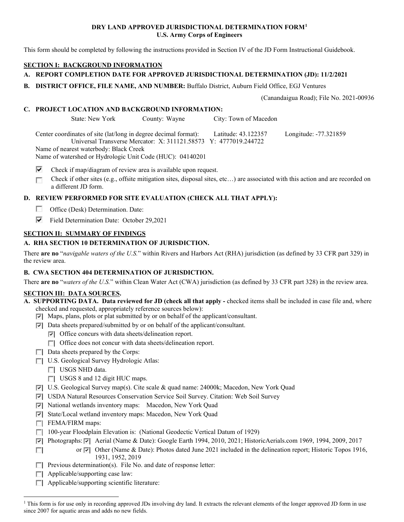## **DRY LAND APPROVED JURISDICTIONAL DETERMINATION FORM[1](#page-0-0) U.S. Army Corps of Engineers**

This form should be completed by following the instructions provided in Section IV of the JD Form Instructional Guidebook.

# **SECTION I: BACKGROUND INFORMATION**

# **A. REPORT COMPLETION DATE FOR APPROVED JURISDICTIONAL DETERMINATION (JD): 11/2/2021**

**B. DISTRICT OFFICE, FILE NAME, AND NUMBER:** Buffalo District, Auburn Field Office, EGJ Ventures

(Canandaigua Road); File No. 2021-00936

#### **C. PROJECT LOCATION AND BACKGROUND INFORMATION:**

State: New York County: Wayne City: Town of Macedon

Center coordinates of site (lat/long in degree decimal format): Latitude: 43.122357 Longitude: -77.321859 Universal Transverse Mercator: X: 311121.58573 Y: 4777019.244722 Name of nearest waterbody: Black Creek

Name of watershed or Hydrologic Unit Code (HUC): 04140201

⊽ Check if map/diagram of review area is available upon request.

п Check if other sites (e.g., offsite mitigation sites, disposal sites, etc…) are associated with this action and are recorded on a different JD form.

# **D. REVIEW PERFORMED FOR SITE EVALUATION (CHECK ALL THAT APPLY):**

- **1999** Office (Desk) Determination. Date:
- Field Determination Date: October 29,2021

# **SECTION II: SUMMARY OF FINDINGS**

# **A. RHA SECTION 10 DETERMINATION OF JURISDICTION.**

There **are no** "*navigable waters of the U.S.*" within Rivers and Harbors Act (RHA) jurisdiction (as defined by 33 CFR part 329) in the review area.

# **B. CWA SECTION 404 DETERMINATION OF JURISDICTION.**

There **are no** "*waters of the U.S.*" within Clean Water Act (CWA) jurisdiction (as defined by 33 CFR part 328) in the review area.

#### **SECTION III: DATA SOURCES.**

- **A. SUPPORTING DATA. Data reviewed for JD (check all that apply -** checked items shall be included in case file and, where checked and requested, appropriately reference sources below):
	- $\triangledown$  Maps, plans, plots or plat submitted by or on behalf of the applicant/consultant.
	- $\nabla$  Data sheets prepared/submitted by or on behalf of the applicant/consultant.
		- $\triangledown$  Office concurs with data sheets/delineation report.
		- $\Box$  Office does not concur with data sheets/delineation report.
	- $\Box$  Data sheets prepared by the Corps:
	- U.S. Geological Survey Hydrologic Atlas:
		- USGS NHD data.
		- USGS 8 and 12 digit HUC maps.
	- U.S. Geological Survey map(s). Cite scale & quad name: 24000k; Macedon, New York Quad
	- USDA Natural Resources Conservation Service Soil Survey. Citation: Web Soil Survey
	- National wetlands inventory maps: Macedon, New York Quad
	- State/Local wetland inventory maps: Macedon, New York Quad
	- F FEMA/FIRM maps:
	- 100-year Floodplain Elevation is: (National Geodectic Vertical Datum of 1929)
	- Photographs:  $\overline{P}$  Aerial (Name & Date): Google Earth 1994, 2010, 2021; HistoricAerials.com 1969, 1994, 2009, 2017
	- or  $\triangledown$  Other (Name & Date): Photos dated June 2021 included in the delineation report; Historic Topos 1916,  $\sim$ 1931, 1952, 2019
	- **Previous determination(s).** File No. and date of response letter:
	- $\Box$  Applicable/supporting case law:
	- $\Box$  Applicable/supporting scientific literature:

<span id="page-0-0"></span><sup>&</sup>lt;sup>1</sup> This form is for use only in recording approved JDs involving dry land. It extracts the relevant elements of the longer approved JD form in use since 2007 for aquatic areas and adds no new fields.